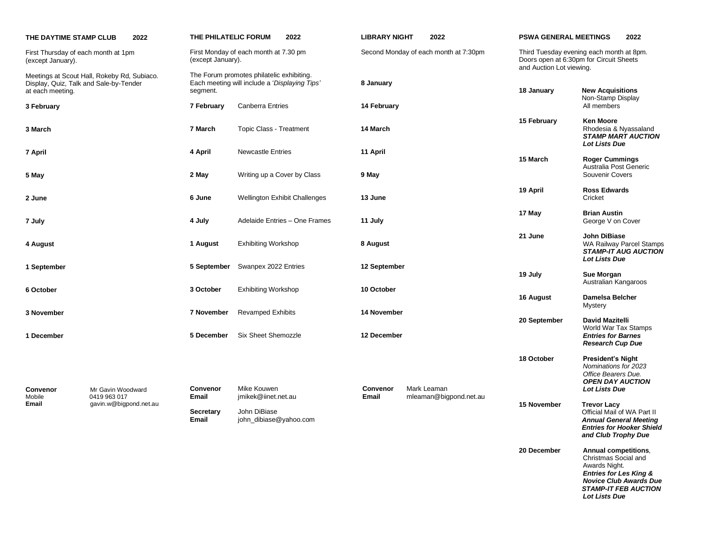| THE DAYTIME STAMP CLUB                                     | 2022                                        | THE PHILATELIC FORUM                                       |                                                               | 2022                                          |              | <b>LIBRARY NIGHT</b> | 2022                                  | <b>PSWA GENERAL MEETINGS</b>                                                                                    |                                                                                                                                               | 2022 |
|------------------------------------------------------------|---------------------------------------------|------------------------------------------------------------|---------------------------------------------------------------|-----------------------------------------------|--------------|----------------------|---------------------------------------|-----------------------------------------------------------------------------------------------------------------|-----------------------------------------------------------------------------------------------------------------------------------------------|------|
| First Thursday of each month at 1pm<br>(except January).   |                                             | First Monday of each month at 7.30 pm<br>(except January). |                                                               |                                               |              |                      | Second Monday of each month at 7:30pm | Third Tuesday evening each month at 8pm.<br>Doors open at 6:30pm for Circuit Sheets<br>and Auction Lot viewing. |                                                                                                                                               |      |
| Display, Quiz, Talk and Sale-by-Tender<br>at each meeting. | Meetings at Scout Hall, Rokeby Rd, Subiaco. | The Forum promotes philatelic exhibiting.<br>segment.      |                                                               | Each meeting will include a 'Displaying Tips' | 8 January    |                      |                                       | 18 January                                                                                                      | <b>New Acquisitions</b>                                                                                                                       |      |
| 3 February                                                 |                                             | 7 February                                                 | <b>Canberra Entries</b>                                       |                                               |              | 14 February          |                                       |                                                                                                                 | Non-Stamp Display<br>All members                                                                                                              |      |
| 3 March                                                    |                                             | 7 March                                                    | <b>Topic Class - Treatment</b>                                |                                               | 14 March     |                      |                                       | 15 February                                                                                                     | <b>Ken Moore</b><br>Rhodesia & Nyassaland<br><b>STAMP MART AUCTION</b><br><b>Lot Lists Due</b>                                                |      |
| 7 April                                                    |                                             | 4 April                                                    | <b>Newcastle Entries</b>                                      |                                               | 11 April     |                      |                                       | 15 March                                                                                                        | <b>Roger Cummings</b>                                                                                                                         |      |
| 5 May                                                      |                                             | 2 May                                                      |                                                               | Writing up a Cover by Class                   | 9 May        |                      |                                       |                                                                                                                 | Australia Post Generic<br>Souvenir Covers                                                                                                     |      |
| 2 June                                                     |                                             | 6 June                                                     |                                                               | Wellington Exhibit Challenges                 | 13 June      |                      |                                       | 19 April                                                                                                        | <b>Ross Edwards</b><br>Cricket                                                                                                                |      |
| 7 July                                                     |                                             | 4 July                                                     |                                                               | Adelaide Entries - One Frames                 | 11 July      |                      |                                       | 17 May                                                                                                          | <b>Brian Austin</b><br>George V on Cover                                                                                                      |      |
| 4 August                                                   |                                             | 1 August                                                   | <b>Exhibiting Workshop</b>                                    |                                               | 8 August     |                      |                                       | 21 June                                                                                                         | John DiBiase<br>WA Railway Parcel Stamps<br><b>STAMP-IT AUG AUCTION</b>                                                                       |      |
| 1 September                                                |                                             | 5 September                                                | Swanpex 2022 Entries                                          |                                               | 12 September |                      |                                       | 19 July                                                                                                         | <b>Lot Lists Due</b><br>Sue Morgan                                                                                                            |      |
| 6 October                                                  |                                             | 3 October                                                  | <b>Exhibiting Workshop</b>                                    |                                               | 10 October   |                      |                                       |                                                                                                                 | Australian Kangaroos                                                                                                                          |      |
|                                                            |                                             |                                                            |                                                               |                                               |              |                      |                                       | 16 August                                                                                                       | Damelsa Belcher<br>Mystery                                                                                                                    |      |
| 3 November                                                 |                                             | 7 November                                                 | <b>Revamped Exhibits</b>                                      |                                               | 14 November  |                      |                                       | 20 September                                                                                                    | <b>David Mazitelli</b><br>World War Tax Stamps                                                                                                |      |
| 1 December                                                 |                                             | 5 December                                                 | Six Sheet Shemozzle                                           |                                               | 12 December  |                      |                                       |                                                                                                                 | <b>Entries for Barnes</b><br><b>Research Cup Due</b>                                                                                          |      |
| Convenor                                                   | Mr Gavin Woodward                           | <b>Convenor</b>                                            | Mike Kouwen                                                   |                                               | Convenor     |                      | Mark Leaman                           | 18 October                                                                                                      | <b>President's Night</b><br>Nominations for 2023<br>Office Bearers Due.<br><b>OPEN DAY AUCTION</b><br>Lot Lists Due                           |      |
| Mobile<br>Email                                            | 0419 963 017<br>gavin.w@bigpond.net.au      | Email<br><b>Secretary</b><br>Email                         | jmikek@iinet.net.au<br>John DiBiase<br>john_dibiase@yahoo.com |                                               | Email        |                      | mleaman@bigpond.net.au<br>15 November |                                                                                                                 | <b>Trevor Lacy</b><br>Official Mail of WA Part II<br><b>Annual General Meeting</b><br><b>Entries for Hooker Shield</b><br>and Club Trophy Due |      |
|                                                            |                                             |                                                            |                                                               |                                               |              |                      |                                       | 20 December                                                                                                     | Annual competitions,<br>Christmas Social and<br>Awards Night.<br><b>Entries for Les King &amp;</b><br><b>Novice Club Awards Due</b>           |      |

*STAMP-IT FEB AUCTION* 

*Lot Lists Due*